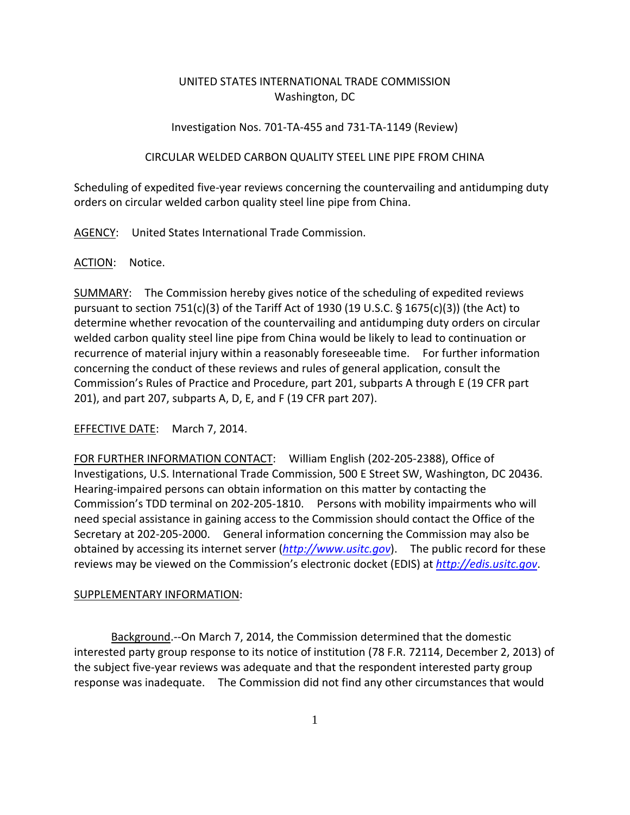# UNITED STATES INTERNATIONAL TRADE COMMISSION Washington, DC

# Investigation Nos. 701‐TA‐455 and 731‐TA‐1149 (Review)

# CIRCULAR WELDED CARBON QUALITY STEEL LINE PIPE FROM CHINA

Scheduling of expedited five‐year reviews concerning the countervailing and antidumping duty orders on circular welded carbon quality steel line pipe from China.

AGENCY: United States International Trade Commission.

# ACTION: Notice.

SUMMARY: The Commission hereby gives notice of the scheduling of expedited reviews pursuant to section 751(c)(3) of the Tariff Act of 1930 (19 U.S.C.  $\S$  1675(c)(3)) (the Act) to determine whether revocation of the countervailing and antidumping duty orders on circular welded carbon quality steel line pipe from China would be likely to lead to continuation or recurrence of material injury within a reasonably foreseeable time. For further information concerning the conduct of these reviews and rules of general application, consult the Commission's Rules of Practice and Procedure, part 201, subparts A through E (19 CFR part 201), and part 207, subparts A, D, E, and F (19 CFR part 207).

EFFECTIVE DATE: March 7, 2014.

FOR FURTHER INFORMATION CONTACT: William English (202‐205‐2388), Office of Investigations, U.S. International Trade Commission, 500 E Street SW, Washington, DC 20436. Hearing‐impaired persons can obtain information on this matter by contacting the Commission's TDD terminal on 202‐205‐1810. Persons with mobility impairments who will need special assistance in gaining access to the Commission should contact the Office of the Secretary at 202‐205‐2000. General information concerning the Commission may also be obtained by accessing its internet server (*http://www.usitc.gov*). The public record for these reviews may be viewed on the Commission's electronic docket (EDIS) at *http://edis.usitc.gov*.

# SUPPLEMENTARY INFORMATION:

Background.‐‐On March 7, 2014, the Commission determined that the domestic interested party group response to its notice of institution (78 F.R. 72114, December 2, 2013) of the subject five‐year reviews was adequate and that the respondent interested party group response was inadequate. The Commission did not find any other circumstances that would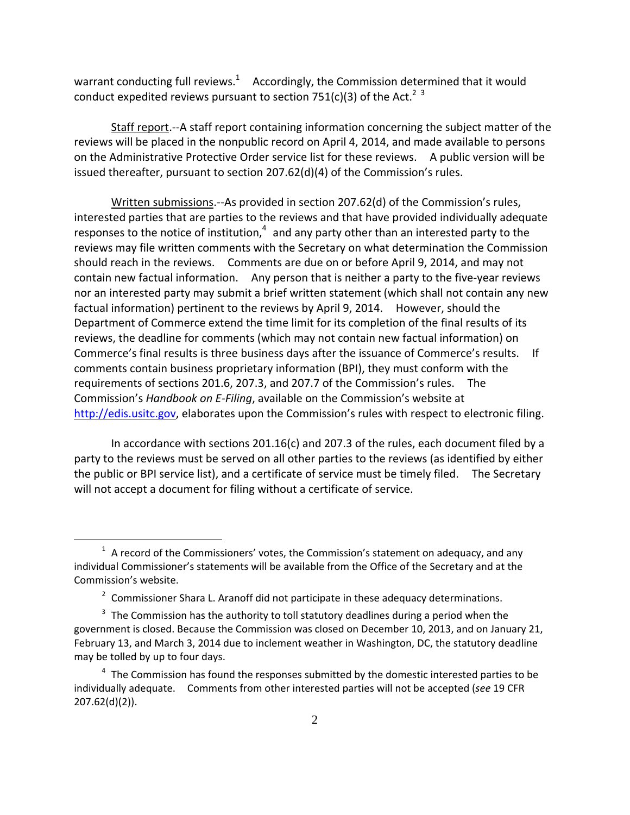warrant conducting full reviews.<sup>1</sup> Accordingly, the Commission determined that it would conduct expedited reviews pursuant to section 751(c)(3) of the Act.<sup>2</sup> <sup>3</sup>

Staff report.‐‐A staff report containing information concerning the subject matter of the reviews will be placed in the nonpublic record on April 4, 2014, and made available to persons on the Administrative Protective Order service list for these reviews. A public version will be issued thereafter, pursuant to section 207.62(d)(4) of the Commission's rules.

Written submissions.‐‐As provided in section 207.62(d) of the Commission's rules, interested parties that are parties to the reviews and that have provided individually adequate responses to the notice of institution, $4$  and any party other than an interested party to the reviews may file written comments with the Secretary on what determination the Commission should reach in the reviews. Comments are due on or before April 9, 2014, and may not contain new factual information. Any person that is neither a party to the five-year reviews nor an interested party may submit a brief written statement (which shall not contain any new factual information) pertinent to the reviews by April 9, 2014. However, should the Department of Commerce extend the time limit for its completion of the final results of its reviews, the deadline for comments (which may not contain new factual information) on Commerce's final results is three business days after the issuance of Commerce's results. If comments contain business proprietary information (BPI), they must conform with the requirements of sections 201.6, 207.3, and 207.7 of the Commission's rules. The Commission's *Handbook on E‐Filing*, available on the Commission's website at http://edis.usitc.gov, elaborates upon the Commission's rules with respect to electronic filing.

In accordance with sections 201.16(c) and 207.3 of the rules, each document filed by a party to the reviews must be served on all other parties to the reviews (as identified by either the public or BPI service list), and a certificate of service must be timely filed. The Secretary will not accept a document for filing without a certificate of service.

 $\overline{a}$ 

 $1$  A record of the Commissioners' votes, the Commission's statement on adequacy, and any individual Commissioner's statements will be available from the Office of the Secretary and at the Commission's website.

 $2$  Commissioner Shara L. Aranoff did not participate in these adequacy determinations.

 $3$  The Commission has the authority to toll statutory deadlines during a period when the government is closed. Because the Commission was closed on December 10, 2013, and on January 21, February 13, and March 3, 2014 due to inclement weather in Washington, DC, the statutory deadline may be tolled by up to four days.

 $4\text{ }$  The Commission has found the responses submitted by the domestic interested parties to be individually adequate. Comments from other interested parties will not be accepted (*see* 19 CFR 207.62(d)(2)).